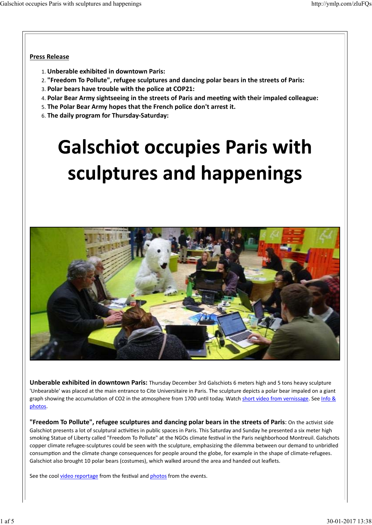**Press Release**

- 1. **Unberable exhibited in downtown Paris:**
- 2. **"Freedom To Pollute", refugee sculptures and dancing polar bears in the streets of Paris:**
- 3. **Polar bears have trouble with the police at COP21:**
- 4. Polar Bear Army sightseeing in the streets of Paris and meeting with their impaled colleague:
- 5. **The Polar Bear Army hopes that the French police don't arrest it.**
- 6. **The daily program for Thursday‐Saturday:**

# **Galschiot occupies Paris with** sculptures and happenings



**Unberable exhibited in downtown Paris:** Thursday December 3rd Galschiots 6 meters high and 5 tons heavy sculpture 'Unbearable' was placed at the main entrance to Cite Universitaire in Paris. The sculpture depicts a polar bear impaled on a giant graph showing the accumulation of CO2 in the atmosphere from 1700 until today. Watch short video from vernissage. See Info & photos.

"Freedom To Pollute", refugee sculptures and dancing polar bears in the streets of Paris: On the activist side Galschiot presents a lot of sculptural activities in public spaces in Paris. This Saturday and Sunday he presented a six meter high smoking Statue of Liberty called "Freedom To Pollute" at the NGOs climate festival in the Paris neighborhood Montreuil. Galschots copper climate refugee‐sculptures could be seen with the sculpture, emphasizing the dilemma between our demand to unbridled consumption and the climate change consequences for people around the globe, for example in the shape of climate-refugees. Galschiot also brought 10 polar bears (costumes), which walked around the area and handed out leaflets.

See the cool video reportage from the festival and photos from the events.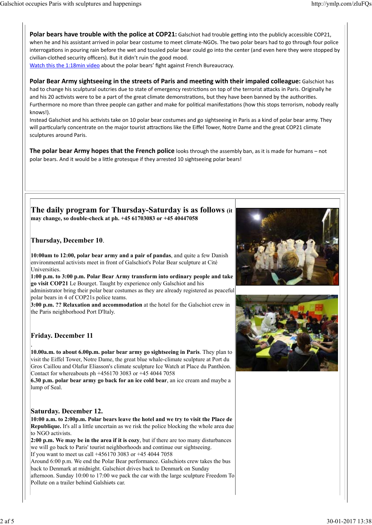**Polar bears have trouble with the police at COP21:** Galschiot had trouble getting into the publicly accessible COP21, when he and his assistant arrived in polar bear costume to meet climate‐NGOs. The two polar bears had to go through four police interrogations in pouring rain before the wet and tousled polar bear could go into the center (and even here they were stopped by civilian‐clothed security officers). But it didn't ruin the good mood.

Watch this the 1:18min video about the polar bears' fight against French Bureaucracy.

**Polar Bear Army sightseeing in the streets of Paris and meeting with their impaled colleague:** Galschiot has had to change his sculptural outcries due to state of emergency restrictions on top of the terrorist attacks in Paris. Originally he and his 20 activists were to be a part of the great climate demonstrations, but they have been banned by the authorities. Furthermore no more than three people can gather and make for political manifestations (how this stops terrorism, nobody really knows!).

Instead Galschiot and his activists take on 10 polar bear costumes and go sightseeing in Paris as a kind of polar bear army. They will particularly concentrate on the major tourist attractions like the Eiffel Tower, Notre Dame and the great COP21 climate sculptures around Paris.

**The polar bear Army hopes that the French police** looks through the assembly ban, as it is made for humans – not polar bears. And it would be a little grotesque if they arrested 10 sightseeing polar bears!

### **The daily program for Thursday-Saturday is as follows (it may change, so double-check at ph. +45 61703083 or +45 40447058**

## **Thursday, December 10**.

**10:00am to 12:00, polar bear army and a pair of pandas**, and quite a few Danish environmental activists meet in front of Galschiot's Polar Bear sculpture at Cité Universities.

**1:00 p.m. to 3:00 p.m. Polar Bear Army transform into ordinary people and take go visit COP21** Le Bourget. Taught by experience only Galschiot and his

administrator bring their polar bear costumes as they are already registered as peaceful polar bears in 4 of COP21s police teams.

**3:00 p.m. ?? Relaxation and accommodation** at the hotel for the Galschiot crew in the Paris neighborhood Port D'Italy.

## **Friday. December 11**

.

**10.00a.m. to about 6.00p.m. polar bear army go sightseeing in Paris**. They plan to visit the Eiffel Tower, Notre Dame, the great blue whale-climate sculpture at Port du Gros Caillou and Olafur Eliasson's climate sculpture Ice Watch at Place du Panthéon. Contact for whereabouts ph +456170 3083 or +45 4044 7058

**6.30 p.m. polar bear army go back for an ice cold bear**, an ice cream and maybe a lump of Seal.

### **Saturday. December 12.**

**10:00 a.m. to 2:00p.m. Polar bears leave the hotel and we try to visit the Place de Republique.** It's all a little uncertain as we risk the police blocking the whole area due to NGO activists.

**2:00 p.m. We may be in the area if it is cozy**, but if there are too many disturbances we will go back to Paris' tourist neighborhoods and continue our sightseeing. If you want to meet us call +456170 3083 or +45 4044 7058

Around 6:00 p.m. We end the Polar Bear performance. Galschiots crew takes the bus back to Denmark at midnight. Galschiot drives back to Denmark on Sunday afternoon. Sunday 10:00 to 17:00 we pack the car with the large sculpture Freedom To Pollute on a trailer behind Galshiøts car.



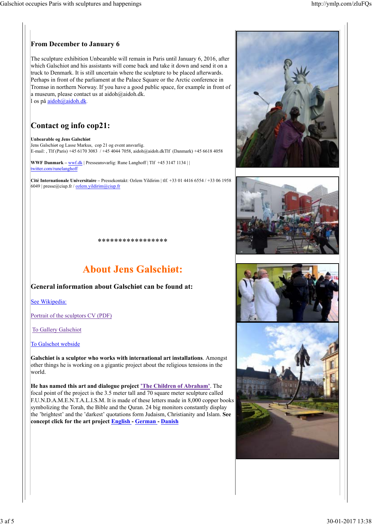#### **From December to January 6**

The sculpture exhibition Unbearable will remain in Paris until January 6, 2016, after which Galschiot and his assistants will come back and take it down and send it on a truck to Denmark. It is still uncertain where the sculpture to be placed afterwards. Perhaps in front of the parliament at the Palace Square or the Arctic conference in Tromsø in northern Norway. If you have a good public space, for example in front of a museum, please contact us at aidoh@aidoh.dk. 1 os på aidoh@aidoh.dk.

# **Contact og info cop21:**

#### **Unbearable og Jens Galschiøt**

Jens Galschiøt og Lasse Markus, cop 21 og event ansvarlig. E-mail: , Tlf (Paris) +45 6170 3083 / +45 4044 7058, aidoh@aidoh.dkTlf (Danmark) +45 6618 4058

**WWF Danmark –** wwf.dk | Presseansvarlig: Rune Langhoff | Tlf +45 3147 1134 | | twitter.com/runelanghoff

**Cité Internationale Universitaire –** Pressekontakt: Ozlem Yildirim | tlf. +33 01 4416 6554 / +33 06 1958 6049 | presse@ciup.fr / ozlem.yildirim@ciup.fr









#### \*\*\*\*\*\*\*\*\*\*\*\*\*\*\*\*\*

# **About Jens Galschigt:**

#### **General information about Galschiøt can be found at:**

See Wikipedia:

Portrait of the sculptors CV (PDF)

To Gallery Galschiot

#### To Galschot webside

**Galschiøt is a sculptor who works with international art installations**. Amongst other things he is working on a gigantic project about the religious tensions in the world.

**He has named this art and dialogue project 'The Children of Abraham'**. The focal point of the project is the 3.5 meter tall and 70 square meter sculpture called F.U.N.D.A.M.E.N.T.A.L.I.S.M. It is made of these letters made in 8,000 copper books symbolizing the Torah, the Bible and the Quran. 24 big monitors constantly display the 'brightest' and the 'darkest' quotations form Judaism, Christianity and Islam. **See concept click for the art project English - German - Danish**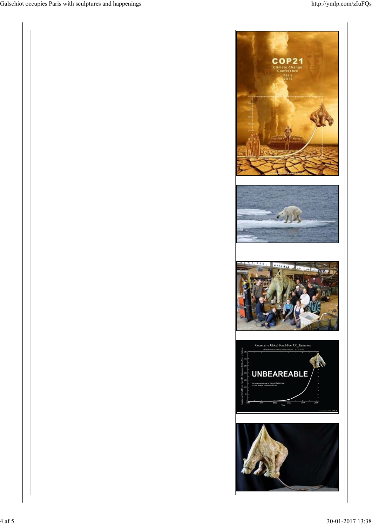